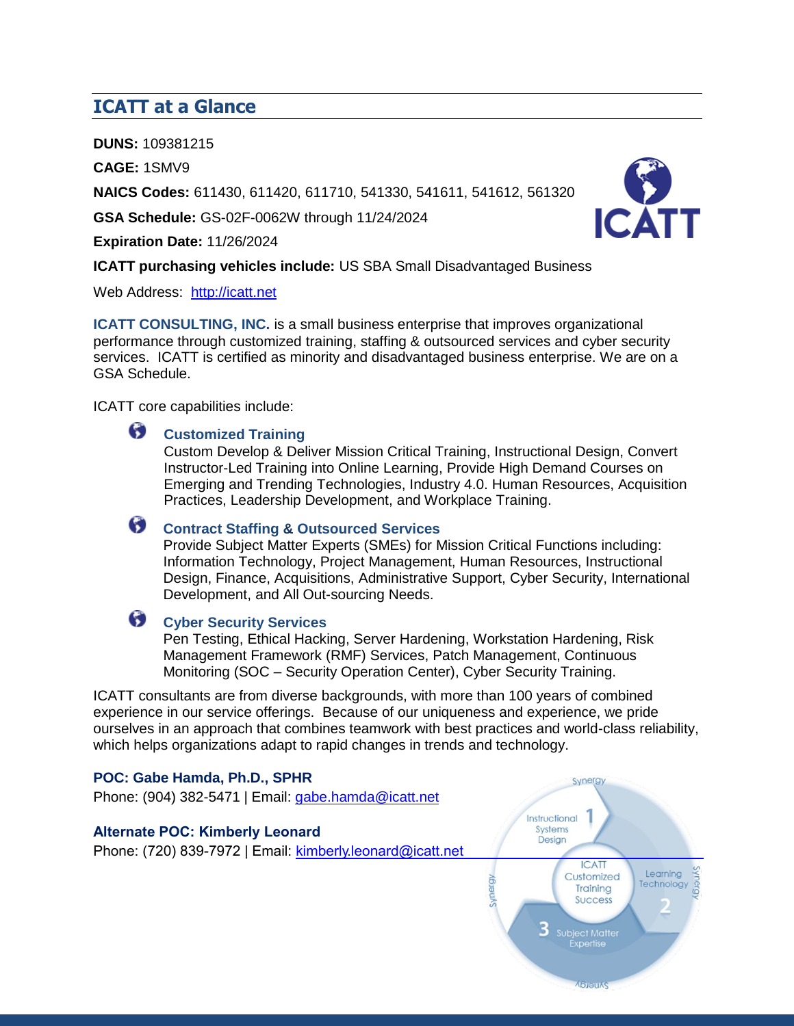### **ICATT at a Glance**

**DUNS:** 109381215

**CAGE:** 1SMV9

**NAICS Codes:** 611430, 611420, 611710, 541330, 541611, 541612, 561320

**GSA Schedule:** GS-02F-0062W through 11/24/2024

**Expiration Date:** 11/26/2024



**ICATT purchasing vehicles include:** US SBA Small Disadvantaged Business

Web Address: [http://icatt.net](http://icatt.net/)

**ICATT CONSULTING, INC.** is a small business enterprise that improves organizational performance through customized training, staffing & outsourced services and cyber security services. ICATT is certified as minority and disadvantaged business enterprise. We are on a GSA Schedule.

ICATT core capabilities include:

#### 6 **Customized Training**

Custom Develop & Deliver Mission Critical Training, Instructional Design, Convert Instructor-Led Training into Online Learning, Provide High Demand Courses on Emerging and Trending Technologies, Industry 4.0. Human Resources, Acquisition Practices, Leadership Development, and Workplace Training.

# **Contract Staffing & Outsourced Services**

Provide Subject Matter Experts (SMEs) for Mission Critical Functions including: Information Technology, Project Management, Human Resources, Instructional Design, Finance, Acquisitions, Administrative Support, Cyber Security, International Development, and All Out-sourcing Needs.

# **Cyber Security Services**

Pen Testing, Ethical Hacking, Server Hardening, Workstation Hardening, Risk Management Framework (RMF) Services, Patch Management, Continuous Monitoring (SOC – Security Operation Center), Cyber Security Training.

ICATT consultants are from diverse backgrounds, with more than 100 years of combined experience in our service offerings. Because of our uniqueness and experience, we pride ourselves in an approach that combines teamwork with best practices and world-class reliability, which helps organizations adapt to rapid changes in trends and technology.

#### **POC: Gabe Hamda, Ph.D., SPHR**

Phone: (904) 382-5471 | Email: [gabe.hamda@icatt.net](mailto:gabe.hamda@icatt.net)

### **Alternate POC: Kimberly Leonard**

Phone: (720) 839-7972 | Email: **[kimberly.leonard@icatt.ne](mailto:patti.robertson@icatt.net)t**